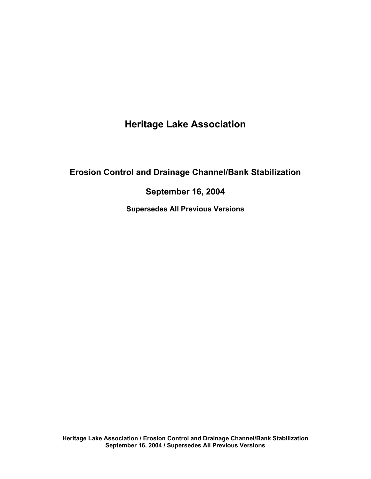# **Heritage Lake Association**

## **Erosion Control and Drainage Channel/Bank Stabilization**

## **September 16, 2004**

**Supersedes All Previous Versions**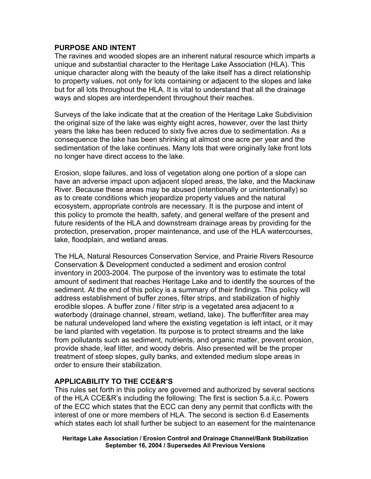#### **PURPOSE AND INTENT**

The ravines and wooded slopes are an inherent natural resource which imparts a unique and substantial character to the Heritage Lake Association (HLA). This unique character along with the beauty of the lake itself has a direct relationship to property values, not only for lots containing or adjacent to the slopes and lake but for all lots throughout the HLA. It is vital to understand that all the drainage ways and slopes are interdependent throughout their reaches.

Surveys of the lake indicate that at the creation of the Heritage Lake Subdivision the original size of the lake was eighty eight acres, however, over the last thirty years the lake has been reduced to sixty five acres due to sedimentation. As a consequence the lake has been shrinking at almost one acre per year and the sedimentation of the lake continues. Many lots that were originally lake front lots no longer have direct access to the lake.

Erosion, slope failures, and loss of vegetation along one portion of a slope can have an adverse impact upon adjacent sloped areas, the lake, and the Mackinaw River. Because these areas may be abused (intentionally or unintentionally) so as to create conditions which jeopardize property values and the natural ecosystem, appropriate controls are necessary. It is the purpose and intent of this policy to promote the health, safety, and general welfare of the present and future residents of the HLA and downstream drainage areas by providing for the protection, preservation, proper maintenance, and use of the HLA watercourses, lake, floodplain, and wetland areas.

The HLA, Natural Resources Conservation Service, and Prairie Rivers Resource Conservation & Development conducted a sediment and erosion control inventory in 2003-2004. The purpose of the inventory was to estimate the total amount of sediment that reaches Heritage Lake and to identify the sources of the sediment. At the end of this policy is a summary of their findings. This policy will address establishment of buffer zones, filter strips, and stabilization of highly erodible slopes. A buffer zone / filter strip is a vegetated area adjacent to a waterbody (drainage channel, stream, wetland, lake). The buffer/filter area may be natural undeveloped land where the existing vegetation is left intact, or it may be land planted with vegetation. Its purpose is to protect streams and the lake from pollutants such as sediment, nutrients, and organic matter, prevent erosion, provide shade, leaf litter, and woody debris. Also presented will be the proper treatment of steep slopes, gully banks, and extended medium slope areas in order to ensure their stabilization.

## **APPLICABILITY TO THE CCE&R'S**

This rules set forth in this policy are governed and authorized by several sections of the HLA CCE&R's including the following: The first is section 5.a.ii,c. Powers of the ECC which states that the ECC can deny any permit that conflicts with the interest of one or more members of HLA. The second is section 6.d Easements which states each lot shall further be subject to an easement for the maintenance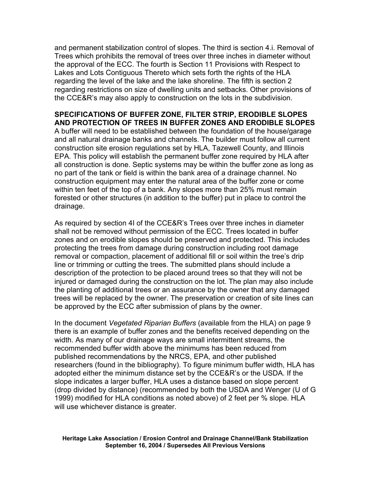and permanent stabilization control of slopes. The third is section 4.i. Removal of Trees which prohibits the removal of trees over three inches in diameter without the approval of the ECC. The fourth is Section 11 Provisions with Respect to Lakes and Lots Contiguous Thereto which sets forth the rights of the HLA regarding the level of the lake and the lake shoreline. The fifth is section 2 regarding restrictions on size of dwelling units and setbacks. Other provisions of the CCE&R's may also apply to construction on the lots in the subdivision.

#### **SPECIFICATIONS OF BUFFER ZONE, FILTER STRIP, ERODIBLE SLOPES AND PROTECTION OF TREES IN BUFFER ZONES AND ERODIBLE SLOPES**

A buffer will need to be established between the foundation of the house/garage and all natural drainage banks and channels. The builder must follow all current construction site erosion regulations set by HLA, Tazewell County, and Illinois EPA. This policy will establish the permanent buffer zone required by HLA after all construction is done. Septic systems may be within the buffer zone as long as no part of the tank or field is within the bank area of a drainage channel. No construction equipment may enter the natural area of the buffer zone or come within ten feet of the top of a bank. Any slopes more than 25% must remain forested or other structures (in addition to the buffer) put in place to control the drainage.

As required by section 4I of the CCE&R's Trees over three inches in diameter shall not be removed without permission of the ECC. Trees located in buffer zones and on erodible slopes should be preserved and protected. This includes protecting the trees from damage during construction including root damage removal or compaction, placement of additional fill or soil within the tree's drip line or trimming or cutting the trees. The submitted plans should include a description of the protection to be placed around trees so that they will not be injured or damaged during the construction on the lot. The plan may also include the planting of additional trees or an assurance by the owner that any damaged trees will be replaced by the owner. The preservation or creation of site lines can be approved by the ECC after submission of plans by the owner.

In the document *Vegetated Riparian Buffers* (available from the HLA) on page 9 there is an example of buffer zones and the benefits received depending on the width. As many of our drainage ways are small intermittent streams, the recommended buffer width above the minimums has been reduced from published recommendations by the NRCS, EPA, and other published researchers (found in the bibliography). To figure minimum buffer width, HLA has adopted either the minimum distance set by the CCE&R's or the USDA. If the slope indicates a larger buffer, HLA uses a distance based on slope percent (drop divided by distance) (recommended by both the USDA and Wenger (U of G 1999) modified for HLA conditions as noted above) of 2 feet per % slope. HLA will use whichever distance is greater.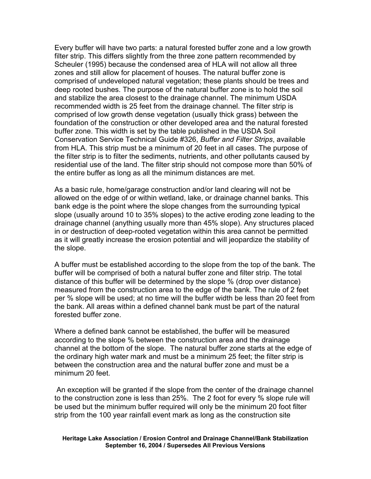Every buffer will have two parts: a natural forested buffer zone and a low growth filter strip. This differs slightly from the three zone pattern recommended by Scheuler (1995) because the condensed area of HLA will not allow all three zones and still allow for placement of houses. The natural buffer zone is comprised of undeveloped natural vegetation; these plants should be trees and deep rooted bushes. The purpose of the natural buffer zone is to hold the soil and stabilize the area closest to the drainage channel. The minimum USDA recommended width is 25 feet from the drainage channel. The filter strip is comprised of low growth dense vegetation (usually thick grass) between the foundation of the construction or other developed area and the natural forested buffer zone. This width is set by the table published in the USDA Soil Conservation Service Technical Guide #326, *Buffer and Filter Strips*, available from HLA. This strip must be a minimum of 20 feet in all cases. The purpose of the filter strip is to filter the sediments, nutrients, and other pollutants caused by residential use of the land. The filter strip should not compose more than 50% of the entire buffer as long as all the minimum distances are met.

As a basic rule, home/garage construction and/or land clearing will not be allowed on the edge of or within wetland, lake, or drainage channel banks. This bank edge is the point where the slope changes from the surrounding typical slope (usually around 10 to 35% slopes) to the active eroding zone leading to the drainage channel (anything usually more than 45% slope). Any structures placed in or destruction of deep-rooted vegetation within this area cannot be permitted as it will greatly increase the erosion potential and will jeopardize the stability of the slope.

A buffer must be established according to the slope from the top of the bank. The buffer will be comprised of both a natural buffer zone and filter strip. The total distance of this buffer will be determined by the slope % (drop over distance) measured from the construction area to the edge of the bank. The rule of 2 feet per % slope will be used; at no time will the buffer width be less than 20 feet from the bank. All areas within a defined channel bank must be part of the natural forested buffer zone.

Where a defined bank cannot be established, the buffer will be measured according to the slope % between the construction area and the drainage channel at the bottom of the slope. The natural buffer zone starts at the edge of the ordinary high water mark and must be a minimum 25 feet; the filter strip is between the construction area and the natural buffer zone and must be a minimum 20 feet.

 An exception will be granted if the slope from the center of the drainage channel to the construction zone is less than 25%. The 2 foot for every % slope rule will be used but the minimum buffer required will only be the minimum 20 foot filter strip from the 100 year rainfall event mark as long as the construction site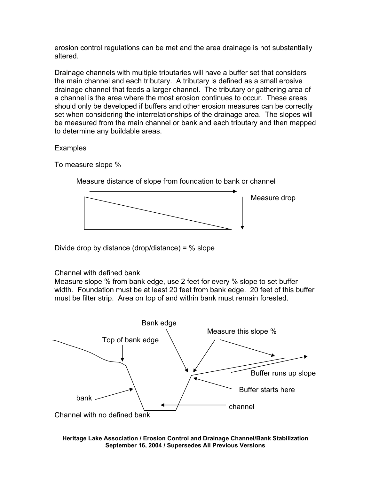erosion control regulations can be met and the area drainage is not substantially altered.

Drainage channels with multiple tributaries will have a buffer set that considers the main channel and each tributary. A tributary is defined as a small erosive drainage channel that feeds a larger channel. The tributary or gathering area of a channel is the area where the most erosion continues to occur. These areas should only be developed if buffers and other erosion measures can be correctly set when considering the interrelationships of the drainage area. The slopes will be measured from the main channel or bank and each tributary and then mapped to determine any buildable areas.

**Examples** 

To measure slope %



Measure distance of slope from foundation to bank or channel

Divide drop by distance (drop/distance) =  $%$  slope

Channel with defined bank

Measure slope % from bank edge, use 2 feet for every % slope to set buffer width. Foundation must be at least 20 feet from bank edge. 20 feet of this buffer must be filter strip. Area on top of and within bank must remain forested.

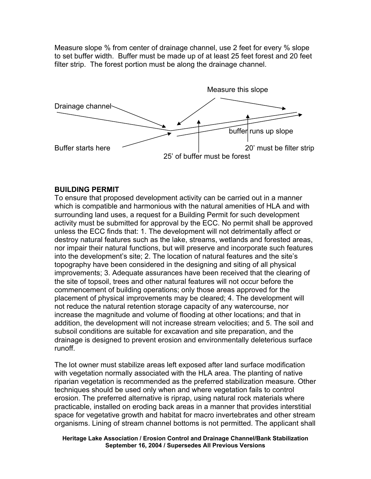Measure slope % from center of drainage channel, use 2 feet for every % slope to set buffer width. Buffer must be made up of at least 25 feet forest and 20 feet filter strip. The forest portion must be along the drainage channel.



#### **BUILDING PERMIT**

To ensure that proposed development activity can be carried out in a manner which is compatible and harmonious with the natural amenities of HLA and with surrounding land uses, a request for a Building Permit for such development activity must be submitted for approval by the ECC. No permit shall be approved unless the ECC finds that: 1. The development will not detrimentally affect or destroy natural features such as the lake, streams, wetlands and forested areas, nor impair their natural functions, but will preserve and incorporate such features into the development's site; 2. The location of natural features and the site's topography have been considered in the designing and siting of all physical improvements; 3. Adequate assurances have been received that the clearing of the site of topsoil, trees and other natural features will not occur before the commencement of building operations; only those areas approved for the placement of physical improvements may be cleared; 4. The development will not reduce the natural retention storage capacity of any watercourse, nor increase the magnitude and volume of flooding at other locations; and that in addition, the development will not increase stream velocities; and 5. The soil and subsoil conditions are suitable for excavation and site preparation, and the drainage is designed to prevent erosion and environmentally deleterious surface runoff.

The lot owner must stabilize areas left exposed after land surface modification with vegetation normally associated with the HLA area. The planting of native riparian vegetation is recommended as the preferred stabilization measure. Other techniques should be used only when and where vegetation fails to control erosion. The preferred alternative is riprap, using natural rock materials where practicable, installed on eroding back areas in a manner that provides interstitial space for vegetative growth and habitat for macro invertebrates and other stream organisms. Lining of stream channel bottoms is not permitted. The applicant shall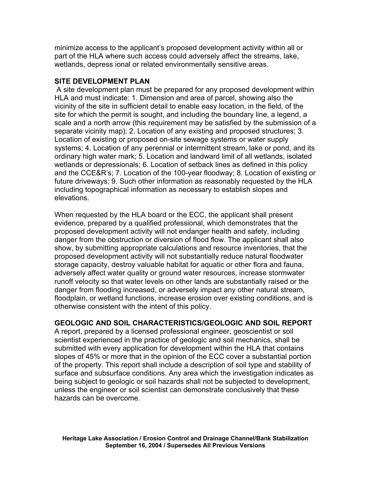minimize access to the applicant's proposed development activity within all or part of the HLA where such access could adversely affect the streams, lake, wetlands, depress ional or related environmentally sensitive areas.

#### **SITE DEVELOPMENT PLAN**

 A site development plan must be prepared for any proposed development within HLA and must indicate: 1. Dimension and area of parcel, showing also the vicinity of the site in sufficient detail to enable easy location, in the field, of the site for which the permit is sought, and including the boundary line, a legend, a scale and a north arrow (this requirement may be satisfied by the submission of a separate vicinity map); 2. Location of any existing and proposed structures; 3. Location of existing or proposed on-site sewage systems or water supply systems; 4. Location of any perennial or intermittent stream, lake or pond, and its ordinary high water mark; 5. Location and landward limit of all wetlands, isolated wetlands or depressionals; 6. Location of setback lines as defined in this policy and the CCE&R's; 7. Location of the 100-year floodway; 8. Location of existing or future driveways; 9. Such other information as reasonably requested by the HLA including topographical information as necessary to establish slopes and elevations.

When requested by the HLA board or the ECC, the applicant shall present evidence, prepared by a qualified professional, which demonstrates that the proposed development activity will not endanger health and safety, including danger from the obstruction or diversion of flood flow. The applicant shall also show, by submitting appropriate calculations and resource inventories, that the proposed development activity will not substantially reduce natural floodwater storage capacity, destroy valuable habitat for aquatic or other flora and fauna, adversely affect water quality or ground water resources, increase stormwater runoff velocity so that water levels on other lands are substantially raised or the danger from flooding increased, or adversely impact any other natural stream, floodplain, or wetland functions, increase erosion over existing conditions, and is otherwise consistent with the intent of this policy.

## **GEOLOGIC AND SOIL CHARACTERISTICS/GEOLOGIC AND SOIL REPORT**

A report, prepared by a licensed professional engineer, geoscientist or soil scientist experienced in the practice of geologic and soil mechanics, shall be submitted with every application for development within the HLA that contains slopes of 45% or more that in the opinion of the ECC cover a substantial portion of the property. This report shall include a description of soil type and stability of surface and subsurface conditions. Any area which the investigation indicates as being subject to geologic or soil hazards shall not be subjected to development, unless the engineer or soil scientist can demonstrate conclusively that these hazards can be overcome.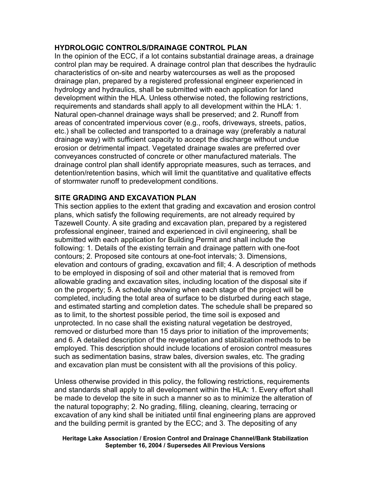#### **HYDROLOGIC CONTROLS/DRAINAGE CONTROL PLAN**

In the opinion of the ECC, if a lot contains substantial drainage areas, a drainage control plan may be required. A drainage control plan that describes the hydraulic characteristics of on-site and nearby watercourses as well as the proposed drainage plan, prepared by a registered professional engineer experienced in hydrology and hydraulics, shall be submitted with each application for land development within the HLA. Unless otherwise noted, the following restrictions, requirements and standards shall apply to all development within the HLA: 1. Natural open-channel drainage ways shall be preserved; and 2. Runoff from areas of concentrated impervious cover (e.g., roofs, driveways, streets, patios, etc.) shall be collected and transported to a drainage way (preferably a natural drainage way) with sufficient capacity to accept the discharge without undue erosion or detrimental impact. Vegetated drainage swales are preferred over conveyances constructed of concrete or other manufactured materials. The drainage control plan shall identify appropriate measures, such as terraces, and detention/retention basins, which will limit the quantitative and qualitative effects of stormwater runoff to predevelopment conditions.

#### **SITE GRADING AND EXCAVATION PLAN**

This section applies to the extent that grading and excavation and erosion control plans, which satisfy the following requirements, are not already required by Tazewell County. A site grading and excavation plan, prepared by a registered professional engineer, trained and experienced in civil engineering, shall be submitted with each application for Building Permit and shall include the following: 1. Details of the existing terrain and drainage pattern with one-foot contours; 2. Proposed site contours at one-foot intervals; 3. Dimensions, elevation and contours of grading, excavation and fill; 4. A description of methods to be employed in disposing of soil and other material that is removed from allowable grading and excavation sites, including location of the disposal site if on the property; 5. A schedule showing when each stage of the project will be completed, including the total area of surface to be disturbed during each stage, and estimated starting and completion dates. The schedule shall be prepared so as to limit, to the shortest possible period, the time soil is exposed and unprotected. In no case shall the existing natural vegetation be destroyed, removed or disturbed more than 15 days prior to initiation of the improvements; and 6. A detailed description of the revegetation and stabilization methods to be employed. This description should include locations of erosion control measures such as sedimentation basins, straw bales, diversion swales, etc. The grading and excavation plan must be consistent with all the provisions of this policy.

Unless otherwise provided in this policy, the following restrictions, requirements and standards shall apply to all development within the HLA: 1. Every effort shall be made to develop the site in such a manner so as to minimize the alteration of the natural topography; 2. No grading, filling, cleaning, clearing, terracing or excavation of any kind shall be initiated until final engineering plans are approved and the building permit is granted by the ECC; and 3. The depositing of any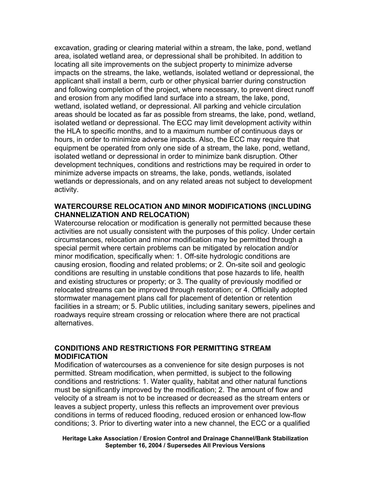excavation, grading or clearing material within a stream, the lake, pond, wetland area, isolated wetland area, or depressional shall be prohibited. In addition to locating all site improvements on the subject property to minimize adverse impacts on the streams, the lake, wetlands, isolated wetland or depressional, the applicant shall install a berm, curb or other physical barrier during construction and following completion of the project, where necessary, to prevent direct runoff and erosion from any modified land surface into a stream, the lake, pond, wetland, isolated wetland, or depressional. All parking and vehicle circulation areas should be located as far as possible from streams, the lake, pond, wetland, isolated wetland or depressional. The ECC may limit development activity within the HLA to specific months, and to a maximum number of continuous days or hours, in order to minimize adverse impacts. Also, the ECC may require that equipment be operated from only one side of a stream, the lake, pond, wetland, isolated wetland or depressional in order to minimize bank disruption. Other development techniques, conditions and restrictions may be required in order to minimize adverse impacts on streams, the lake, ponds, wetlands, isolated wetlands or depressionals, and on any related areas not subject to development activity.

#### **WATERCOURSE RELOCATION AND MINOR MODIFICATIONS (INCLUDING CHANNELIZATION AND RELOCATION)**

Watercourse relocation or modification is generally not permitted because these activities are not usually consistent with the purposes of this policy. Under certain circumstances, relocation and minor modification may be permitted through a special permit where certain problems can be mitigated by relocation and/or minor modification, specifically when: 1. Off-site hydrologic conditions are causing erosion, flooding and related problems; or 2. On-site soil and geologic conditions are resulting in unstable conditions that pose hazards to life, health and existing structures or property; or 3. The quality of previously modified or relocated streams can be improved through restoration; or 4. Officially adopted stormwater management plans call for placement of detention or retention facilities in a stream; or 5. Public utilities, including sanitary sewers, pipelines and roadways require stream crossing or relocation where there are not practical alternatives.

#### **CONDITIONS AND RESTRICTIONS FOR PERMITTING STREAM MODIFICATION**

Modification of watercourses as a convenience for site design purposes is not permitted. Stream modification, when permitted, is subject to the following conditions and restrictions: 1. Water quality, habitat and other natural functions must be significantly improved by the modification; 2. The amount of flow and velocity of a stream is not to be increased or decreased as the stream enters or leaves a subject property, unless this reflects an improvement over previous conditions in terms of reduced flooding, reduced erosion or enhanced low-flow conditions; 3. Prior to diverting water into a new channel, the ECC or a qualified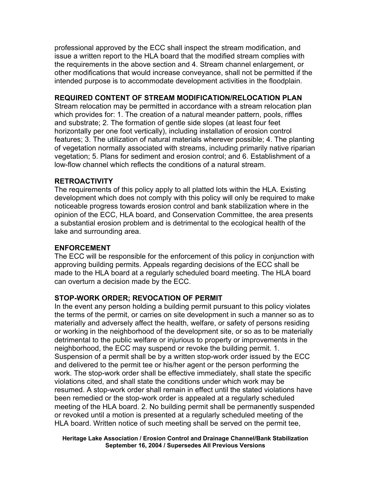professional approved by the ECC shall inspect the stream modification, and issue a written report to the HLA board that the modified stream complies with the requirements in the above section and 4. Stream channel enlargement, or other modifications that would increase conveyance, shall not be permitted if the intended purpose is to accommodate development activities in the floodplain.

## **REQUIRED CONTENT OF STREAM MODIFICATION/RELOCATION PLAN**

Stream relocation may be permitted in accordance with a stream relocation plan which provides for: 1. The creation of a natural meander pattern, pools, riffles and substrate; 2. The formation of gentle side slopes (at least four feet horizontally per one foot vertically), including installation of erosion control features; 3. The utilization of natural materials wherever possible; 4. The planting of vegetation normally associated with streams, including primarily native riparian vegetation; 5. Plans for sediment and erosion control; and 6. Establishment of a low-flow channel which reflects the conditions of a natural stream.

## **RETROACTIVITY**

The requirements of this policy apply to all platted lots within the HLA. Existing development which does not comply with this policy will only be required to make noticeable progress towards erosion control and bank stabilization where in the opinion of the ECC, HLA board, and Conservation Committee, the area presents a substantial erosion problem and is detrimental to the ecological health of the lake and surrounding area.

## **ENFORCEMENT**

The ECC will be responsible for the enforcement of this policy in conjunction with approving building permits. Appeals regarding decisions of the ECC shall be made to the HLA board at a regularly scheduled board meeting. The HLA board can overturn a decision made by the ECC.

## **STOP-WORK ORDER; REVOCATION OF PERMIT**

In the event any person holding a building permit pursuant to this policy violates the terms of the permit, or carries on site development in such a manner so as to materially and adversely affect the health, welfare, or safety of persons residing or working in the neighborhood of the development site, or so as to be materially detrimental to the public welfare or injurious to property or improvements in the neighborhood, the ECC may suspend or revoke the building permit. 1. Suspension of a permit shall be by a written stop-work order issued by the ECC and delivered to the permit tee or his/her agent or the person performing the work. The stop-work order shall be effective immediately, shall state the specific violations cited, and shall state the conditions under which work may be resumed. A stop-work order shall remain in effect until the stated violations have been remedied or the stop-work order is appealed at a regularly scheduled meeting of the HLA board. 2. No building permit shall be permanently suspended or revoked until a motion is presented at a regularly scheduled meeting of the HLA board. Written notice of such meeting shall be served on the permit tee,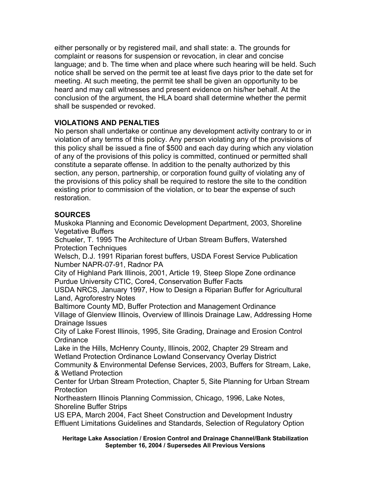either personally or by registered mail, and shall state: a. The grounds for complaint or reasons for suspension or revocation, in clear and concise language; and b. The time when and place where such hearing will be held. Such notice shall be served on the permit tee at least five days prior to the date set for meeting. At such meeting, the permit tee shall be given an opportunity to be heard and may call witnesses and present evidence on his/her behalf. At the conclusion of the argument, the HLA board shall determine whether the permit shall be suspended or revoked.

## **VIOLATIONS AND PENALTIES**

No person shall undertake or continue any development activity contrary to or in violation of any terms of this policy. Any person violating any of the provisions of this policy shall be issued a fine of \$500 and each day during which any violation of any of the provisions of this policy is committed, continued or permitted shall constitute a separate offense. In addition to the penalty authorized by this section, any person, partnership, or corporation found guilty of violating any of the provisions of this policy shall be required to restore the site to the condition existing prior to commission of the violation, or to bear the expense of such restoration.

## **SOURCES**

Muskoka Planning and Economic Development Department, 2003, Shoreline Vegetative Buffers

Schueler, T. 1995 The Architecture of Urban Stream Buffers, Watershed Protection Techniques

Welsch, D.J. 1991 Riparian forest buffers, USDA Forest Service Publication Number NAPR-07-91, Radnor PA

City of Highland Park Illinois, 2001, Article 19, Steep Slope Zone ordinance Purdue University CTIC, Core4, Conservation Buffer Facts

USDA NRCS, January 1997, How to Design a Riparian Buffer for Agricultural Land, Agroforestry Notes

Baltimore County MD, Buffer Protection and Management Ordinance Village of Glenview Illinois, Overview of Illinois Drainage Law, Addressing Home Drainage Issues

City of Lake Forest Illinois, 1995, Site Grading, Drainage and Erosion Control **Ordinance** 

Lake in the Hills, McHenry County, Illinois, 2002, Chapter 29 Stream and Wetland Protection Ordinance Lowland Conservancy Overlay District

Community & Environmental Defense Services, 2003, Buffers for Stream, Lake, & Wetland Protection

Center for Urban Stream Protection, Chapter 5, Site Planning for Urban Stream Protection

Northeastern Illinois Planning Commission, Chicago, 1996, Lake Notes, Shoreline Buffer Strips

US EPA, March 2004, Fact Sheet Construction and Development Industry Effluent Limitations Guidelines and Standards, Selection of Regulatory Option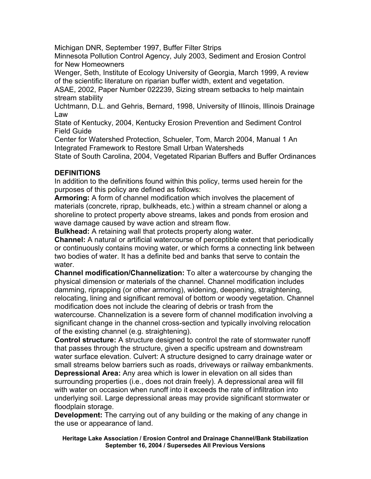Michigan DNR, September 1997, Buffer Filter Strips

Minnesota Pollution Control Agency, July 2003, Sediment and Erosion Control for New Homeowners

Wenger, Seth, Institute of Ecology University of Georgia, March 1999, A review of the scientific literature on riparian buffer width, extent and vegetation.

ASAE, 2002, Paper Number 022239, Sizing stream setbacks to help maintain stream stability

Uchtmann, D.L. and Gehris, Bernard, 1998, University of Illinois, Illinois Drainage Law

State of Kentucky, 2004, Kentucky Erosion Prevention and Sediment Control Field Guide

Center for Watershed Protection, Schueler, Tom, March 2004, Manual 1 An Integrated Framework to Restore Small Urban Watersheds

State of South Carolina, 2004, Vegetated Riparian Buffers and Buffer Ordinances

## **DEFINITIONS**

In addition to the definitions found within this policy, terms used herein for the purposes of this policy are defined as follows:

**Armoring:** A form of channel modification which involves the placement of materials (concrete, riprap, bulkheads, etc.) within a stream channel or along a shoreline to protect property above streams, lakes and ponds from erosion and wave damage caused by wave action and stream flow.

**Bulkhead:** A retaining wall that protects property along water.

**Channel:** A natural or artificial watercourse of perceptible extent that periodically or continuously contains moving water, or which forms a connecting link between two bodies of water. It has a definite bed and banks that serve to contain the water.

**Channel modification/Channelization:** To alter a watercourse by changing the physical dimension or materials of the channel. Channel modification includes damming, riprapping (or other armoring), widening, deepening, straightening, relocating, lining and significant removal of bottom or woody vegetation. Channel modification does not include the clearing of debris or trash from the

watercourse. Channelization is a severe form of channel modification involving a significant change in the channel cross-section and typically involving relocation of the existing channel (e.g. straightening).

**Control structure:** A structure designed to control the rate of stormwater runoff that passes through the structure, given a specific upstream and downstream water surface elevation. Culvert: A structure designed to carry drainage water or small streams below barriers such as roads, driveways or railway embankments.

**Depressional Area:** Any area which is lower in elevation on all sides than surrounding properties (i.e., does not drain freely). A depressional area will fill with water on occasion when runoff into it exceeds the rate of infiltration into underlying soil. Large depressional areas may provide significant stormwater or floodplain storage.

**Development:** The carrying out of any building or the making of any change in the use or appearance of land.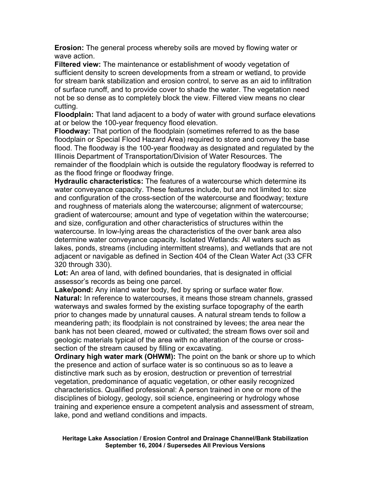**Erosion:** The general process whereby soils are moved by flowing water or wave action.

**Filtered view:** The maintenance or establishment of woody vegetation of sufficient density to screen developments from a stream or wetland, to provide for stream bank stabilization and erosion control, to serve as an aid to infiltration of surface runoff, and to provide cover to shade the water. The vegetation need not be so dense as to completely block the view. Filtered view means no clear cutting.

**Floodplain:** That land adjacent to a body of water with ground surface elevations at or below the 100-year frequency flood elevation.

**Floodway:** That portion of the floodplain (sometimes referred to as the base floodplain or Special Flood Hazard Area) required to store and convey the base flood. The floodway is the 100-year floodway as designated and regulated by the Illinois Department of Transportation/Division of Water Resources. The remainder of the floodplain which is outside the regulatory floodway is referred to as the flood fringe or floodway fringe.

**Hydraulic characteristics:** The features of a watercourse which determine its water conveyance capacity. These features include, but are not limited to: size and configuration of the cross-section of the watercourse and floodway; texture and roughness of materials along the watercourse; alignment of watercourse; gradient of watercourse; amount and type of vegetation within the watercourse; and size, configuration and other characteristics of structures within the watercourse. In low-lying areas the characteristics of the over bank area also determine water conveyance capacity. Isolated Wetlands: All waters such as lakes, ponds, streams (including intermittent streams), and wetlands that are not adjacent or navigable as defined in Section 404 of the Clean Water Act (33 CFR 320 through 330).

**Lot:** An area of land, with defined boundaries, that is designated in official assessor's records as being one parcel.

**Lake/pond:** Any inland water body, fed by spring or surface water flow. **Natural:** In reference to watercourses, it means those stream channels, grassed waterways and swales formed by the existing surface topography of the earth prior to changes made by unnatural causes. A natural stream tends to follow a meandering path; its floodplain is not constrained by levees; the area near the bank has not been cleared, mowed or cultivated; the stream flows over soil and geologic materials typical of the area with no alteration of the course or crosssection of the stream caused by filling or excavating.

**Ordinary high water mark (OHWM):** The point on the bank or shore up to which the presence and action of surface water is so continuous so as to leave a distinctive mark such as by erosion, destruction or prevention of terrestrial vegetation, predominance of aquatic vegetation, or other easily recognized characteristics. Qualified professional: A person trained in one or more of the disciplines of biology, geology, soil science, engineering or hydrology whose training and experience ensure a competent analysis and assessment of stream, lake, pond and wetland conditions and impacts.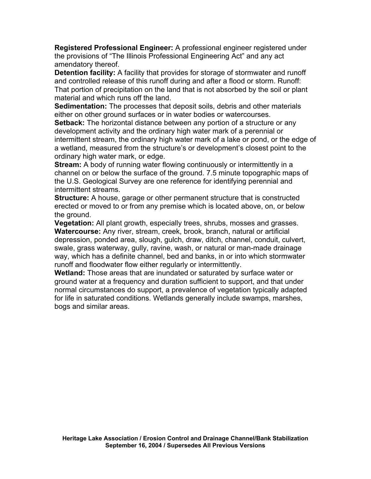**Registered Professional Engineer:** A professional engineer registered under the provisions of "The Illinois Professional Engineering Act" and any act amendatory thereof.

**Detention facility:** A facility that provides for storage of stormwater and runoff and controlled release of this runoff during and after a flood or storm. Runoff: That portion of precipitation on the land that is not absorbed by the soil or plant material and which runs off the land.

**Sedimentation:** The processes that deposit soils, debris and other materials either on other ground surfaces or in water bodies or watercourses.

**Setback:** The horizontal distance between any portion of a structure or any development activity and the ordinary high water mark of a perennial or intermittent stream, the ordinary high water mark of a lake or pond, or the edge of a wetland, measured from the structure's or development's closest point to the ordinary high water mark, or edge.

**Stream:** A body of running water flowing continuously or intermittently in a channel on or below the surface of the ground. 7.5 minute topographic maps of the U.S. Geological Survey are one reference for identifying perennial and intermittent streams.

**Structure:** A house, garage or other permanent structure that is constructed erected or moved to or from any premise which is located above, on, or below the ground.

**Vegetation:** All plant growth, especially trees, shrubs, mosses and grasses. **Watercourse:** Any river, stream, creek, brook, branch, natural or artificial depression, ponded area, slough, gulch, draw, ditch, channel, conduit, culvert, swale, grass waterway, gully, ravine, wash, or natural or man-made drainage way, which has a definite channel, bed and banks, in or into which stormwater runoff and floodwater flow either regularly or intermittently.

**Wetland:** Those areas that are inundated or saturated by surface water or ground water at a frequency and duration sufficient to support, and that under normal circumstances do support, a prevalence of vegetation typically adapted for life in saturated conditions. Wetlands generally include swamps, marshes, bogs and similar areas.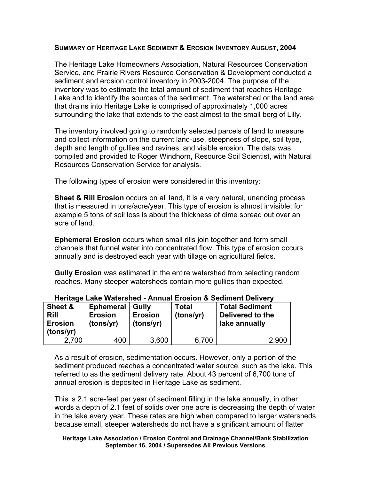#### **SUMMARY OF HERITAGE LAKE SEDIMENT & EROSION INVENTORY AUGUST, 2004**

The Heritage Lake Homeowners Association, Natural Resources Conservation Service, and Prairie Rivers Resource Conservation & Development conducted a sediment and erosion control inventory in 2003-2004. The purpose of the inventory was to estimate the total amount of sediment that reaches Heritage Lake and to identify the sources of the sediment. The watershed or the land area that drains into Heritage Lake is comprised of approximately 1,000 acres surrounding the lake that extends to the east almost to the small berg of Lilly.

The inventory involved going to randomly selected parcels of land to measure and collect information on the current land-use, steepness of slope, soil type, depth and length of gullies and ravines, and visible erosion. The data was compiled and provided to Roger Windhorn, Resource Soil Scientist, with Natural Resources Conservation Service for analysis.

The following types of erosion were considered in this inventory:

**Sheet & Rill Erosion** occurs on all land, it is a very natural, unending process that is measured in tons/acre/year. This type of erosion is almost invisible; for example 5 tons of soil loss is about the thickness of dime spread out over an acre of land.

**Ephemeral Erosion** occurs when small rills join together and form small channels that funnel water into concentrated flow. This type of erosion occurs annually and is destroyed each year with tillage on agricultural fields.

**Gully Erosion** was estimated in the entire watershed from selecting random reaches. Many steeper watersheds contain more gullies than expected.

| Sheet &<br><b>Rill</b><br><b>Erosion</b><br>(tons/yr) | <b>Ephemeral</b><br><b>Erosion</b><br>(tons/yr) | Gully<br><b>Erosion</b><br>(tons/yr) | Total<br>(tons/yr) | <b>Total Sediment</b><br>Delivered to the<br>lake annually |
|-------------------------------------------------------|-------------------------------------------------|--------------------------------------|--------------------|------------------------------------------------------------|
| 2,700                                                 | 400                                             | 3,600                                | 6,700              | 2,900                                                      |

#### **Heritage Lake Watershed - Annual Erosion & Sediment Delivery**

As a result of erosion, sedimentation occurs. However, only a portion of the sediment produced reaches a concentrated water source, such as the lake. This referred to as the sediment delivery rate. About 43 percent of 6,700 tons of annual erosion is deposited in Heritage Lake as sediment.

This is 2.1 acre-feet per year of sediment filling in the lake annually, in other words a depth of 2.1 feet of solids over one acre is decreasing the depth of water in the lake every year. These rates are high when compared to larger watersheds because small, steeper watersheds do not have a significant amount of flatter